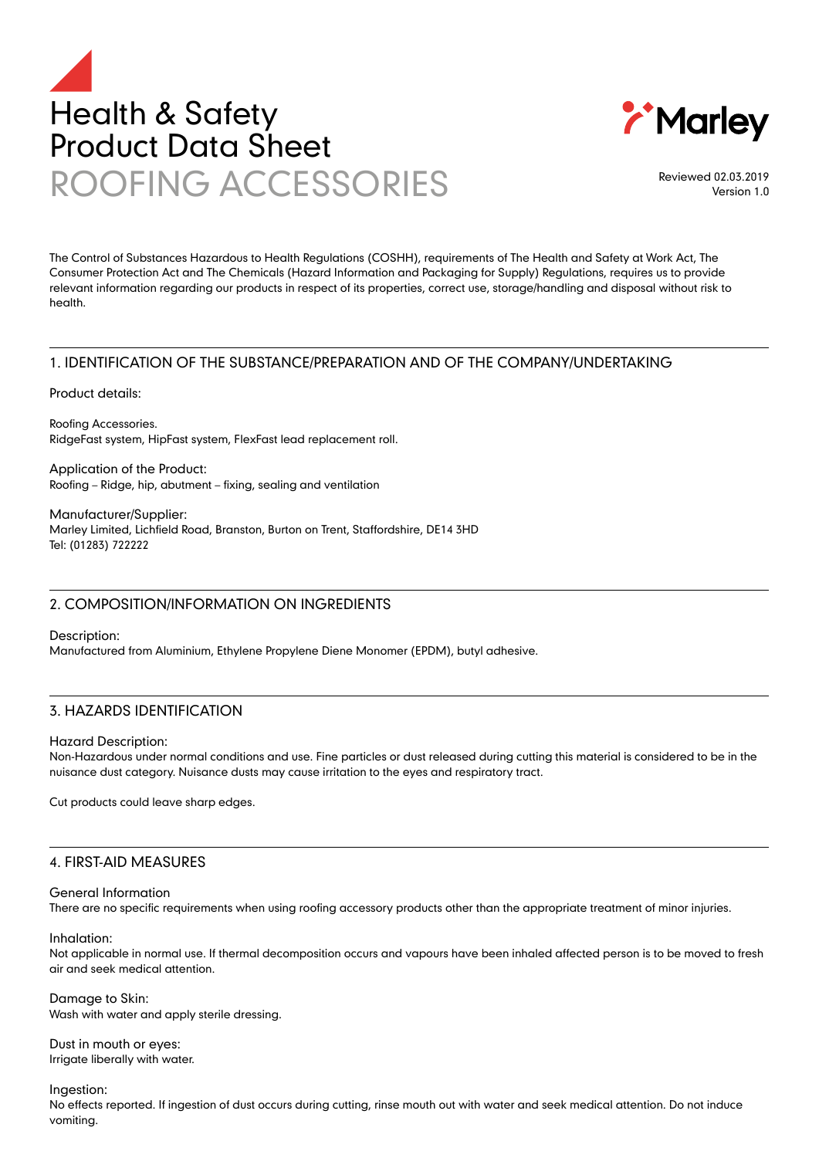



Reviewed 02.03.2019 Version 1.0

The Control of Substances Hazardous to Health Regulations (COSHH), requirements of The Health and Safety at Work Act, The Consumer Protection Act and The Chemicals (Hazard Information and Packaging for Supply) Regulations, requires us to provide relevant information regarding our products in respect of its properties, correct use, storage/handling and disposal without risk to health.

# 1. IDENTIFICATION OF THE SUBSTANCE/PREPARATION AND OF THE COMPANY/UNDERTAKING

Product details:

Roofing Accessories. RidgeFast system, HipFast system, FlexFast lead replacement roll.

Application of the Product: Roofing – Ridge, hip, abutment – fixing, sealing and ventilation

Manufacturer/Supplier: Marley Limited, Lichfield Road, Branston, Burton on Trent, Staffordshire, DE14 3HD Tel: (01283) 722222

# 2. COMPOSITION/INFORMATION ON INGREDIENTS

Description:

Manufactured from Aluminium, Ethylene Propylene Diene Monomer (EPDM), butyl adhesive.

# 3. HAZARDS IDENTIFICATION

#### Hazard Description:

Non-Hazardous under normal conditions and use. Fine particles or dust released during cutting this material is considered to be in the nuisance dust category. Nuisance dusts may cause irritation to the eyes and respiratory tract.

Cut products could leave sharp edges.

#### 4. FIRST-AID MEASURES

#### General Information

There are no specific requirements when using roofing accessory products other than the appropriate treatment of minor injuries.

Inhalation:

Not applicable in normal use. If thermal decomposition occurs and vapours have been inhaled affected person is to be moved to fresh air and seek medical attention.

Damage to Skin: Wash with water and apply sterile dressing.

Dust in mouth or eyes: Irrigate liberally with water.

Ingestion:

No effects reported. If ingestion of dust occurs during cutting, rinse mouth out with water and seek medical attention. Do not induce vomiting.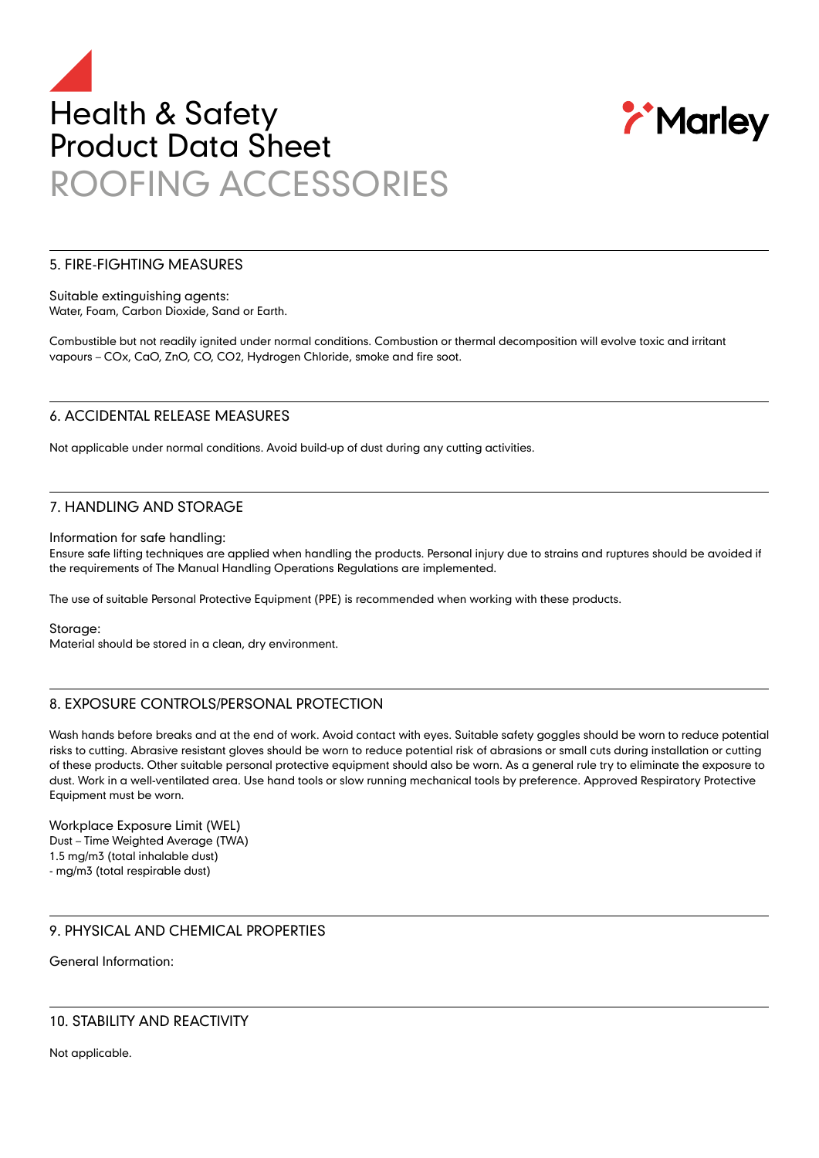



#### 5. FIRE-FIGHTING MEASURES

Suitable extinguishing agents: Water, Foam, Carbon Dioxide, Sand or Earth.

Combustible but not readily ignited under normal conditions. Combustion or thermal decomposition will evolve toxic and irritant vapours – COx, CaO, ZnO, CO, CO2, Hydrogen Chloride, smoke and fire soot.

## 6. ACCIDENTAL RELEASE MEASURES

Not applicable under normal conditions. Avoid build-up of dust during any cutting activities.

## 7. HANDLING AND STORAGE

Information for safe handling:

Ensure safe lifting techniques are applied when handling the products. Personal injury due to strains and ruptures should be avoided if the requirements of The Manual Handling Operations Regulations are implemented.

The use of suitable Personal Protective Equipment (PPE) is recommended when working with these products.

Storage:

Material should be stored in a clean, dry environment.

# 8. EXPOSURE CONTROLS/PERSONAL PROTECTION

Wash hands before breaks and at the end of work. Avoid contact with eyes. Suitable safety goggles should be worn to reduce potential risks to cutting. Abrasive resistant gloves should be worn to reduce potential risk of abrasions or small cuts during installation or cutting of these products. Other suitable personal protective equipment should also be worn. As a general rule try to eliminate the exposure to dust. Work in a well-ventilated area. Use hand tools or slow running mechanical tools by preference. Approved Respiratory Protective Equipment must be worn.

Workplace Exposure Limit (WEL) Dust – Time Weighted Average (TWA) 1.5 mg/m3 (total inhalable dust) - mg/m3 (total respirable dust)

## 9. PHYSICAL AND CHEMICAL PROPERTIES

General Information:

# 10. STABILITY AND REACTIVITY

Not applicable.